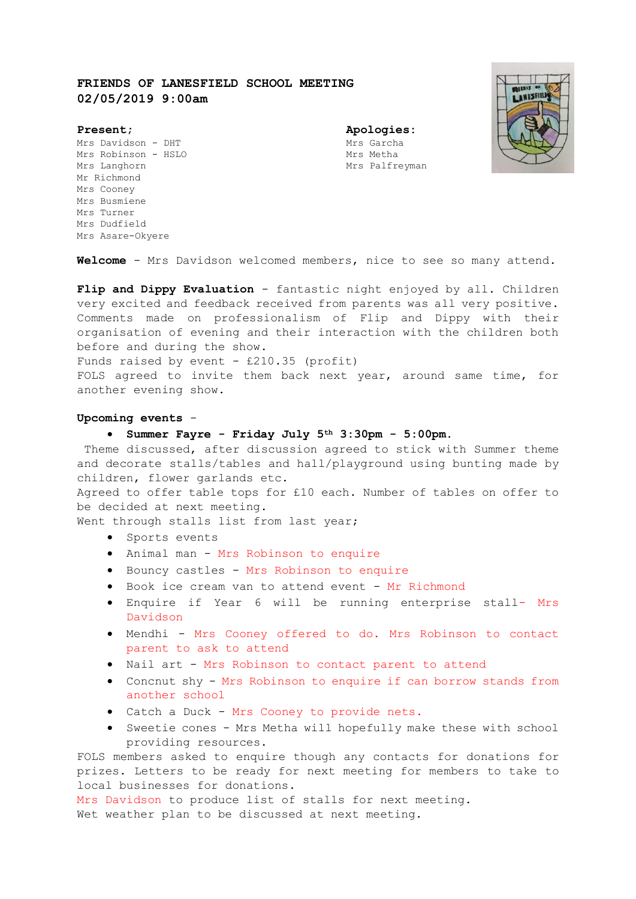# **FRIENDS OF LANESFIELD SCHOOL MEETING 02/05/2019 9:00am**



Mrs Davidson - DHT Mrs Garcha Mrs Robinson - HSLO Mrs Metha Mrs Langhorn **Mrs Palfreyman** Mr Richmond Mrs Cooney Mrs Busmiene Mrs Turner Mrs Dudfield Mrs Asare-Okyere

**Present; Apologies:**

**Welcome** - Mrs Davidson welcomed members, nice to see so many attend.

**Flip and Dippy Evaluation** - fantastic night enjoyed by all. Children very excited and feedback received from parents was all very positive. Comments made on professionalism of Flip and Dippy with their organisation of evening and their interaction with the children both before and during the show.

Funds raised by event  $-$  £210.35 (profit)

FOLS agreed to invite them back next year, around same time, for another evening show.

### **Upcoming events** -

## **Summer Fayre - Friday July 5th 3:30pm - 5:00pm.**

Theme discussed, after discussion agreed to stick with Summer theme and decorate stalls/tables and hall/playground using bunting made by children, flower garlands etc.

Agreed to offer table tops for £10 each. Number of tables on offer to be decided at next meeting.

Went through stalls list from last year;

- Sports events
- Animal man Mrs Robinson to enquire
- Bouncy castles Mrs Robinson to enquire
- Book ice cream van to attend event Mr Richmond
- Enquire if Year 6 will be running enterprise stall- Mrs Davidson
- Mendhi Mrs Cooney offered to do. Mrs Robinson to contact parent to ask to attend
- Nail art Mrs Robinson to contact parent to attend
- Concnut shy Mrs Robinson to enquire if can borrow stands from another school
- Catch a Duck Mrs Cooney to provide nets.
- Sweetie cones Mrs Metha will hopefully make these with school providing resources.

FOLS members asked to enquire though any contacts for donations for prizes. Letters to be ready for next meeting for members to take to local businesses for donations.

Mrs Davidson to produce list of stalls for next meeting. Wet weather plan to be discussed at next meeting.